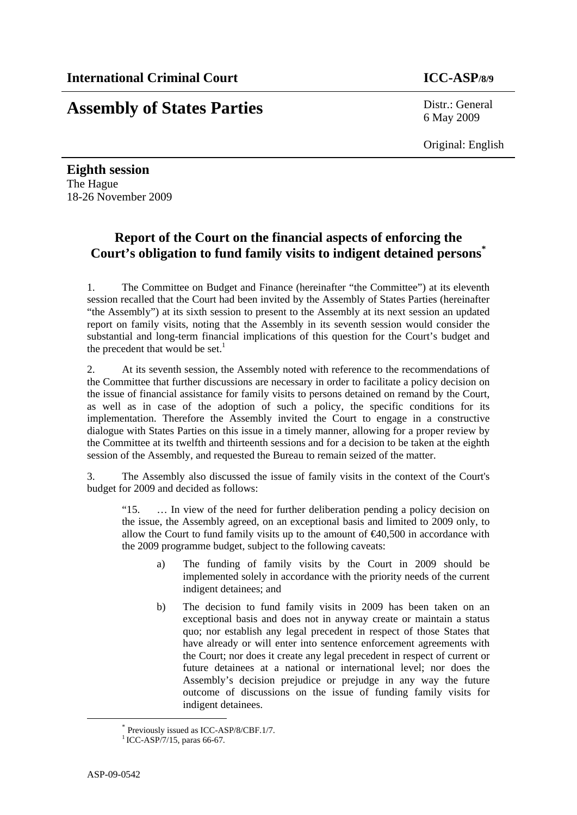# **Assembly of States Parties** Distr.: General

6 May 2009

Original: English

**Eighth session**  The Hague 18-26 November 2009

## **Report of the Court on the financial aspects of enforcing the Court's obligation to fund family visits to indigent detained persons\***

1. The Committee on Budget and Finance (hereinafter "the Committee") at its eleventh session recalled that the Court had been invited by the Assembly of States Parties (hereinafter "the Assembly") at its sixth session to present to the Assembly at its next session an updated report on family visits, noting that the Assembly in its seventh session would consider the substantial and long-term financial implications of this question for the Court's budget and the precedent that would be set. $<sup>1</sup>$ </sup>

2. At its seventh session, the Assembly noted with reference to the recommendations of the Committee that further discussions are necessary in order to facilitate a policy decision on the issue of financial assistance for family visits to persons detained on remand by the Court, as well as in case of the adoption of such a policy, the specific conditions for its implementation. Therefore the Assembly invited the Court to engage in a constructive dialogue with States Parties on this issue in a timely manner, allowing for a proper review by the Committee at its twelfth and thirteenth sessions and for a decision to be taken at the eighth session of the Assembly, and requested the Bureau to remain seized of the matter.

3. The Assembly also discussed the issue of family visits in the context of the Court's budget for 2009 and decided as follows:

"15. … In view of the need for further deliberation pending a policy decision on the issue, the Assembly agreed, on an exceptional basis and limited to 2009 only, to allow the Court to fund family visits up to the amount of  $\epsilon 40,500$  in accordance with the 2009 programme budget, subject to the following caveats:

- a) The funding of family visits by the Court in 2009 should be implemented solely in accordance with the priority needs of the current indigent detainees; and
- b) The decision to fund family visits in 2009 has been taken on an exceptional basis and does not in anyway create or maintain a status quo; nor establish any legal precedent in respect of those States that have already or will enter into sentence enforcement agreements with the Court; nor does it create any legal precedent in respect of current or future detainees at a national or international level; nor does the Assembly's decision prejudice or prejudge in any way the future outcome of discussions on the issue of funding family visits for indigent detainees.

 <sup>\*</sup> Previously issued as ICC-ASP/8/CBF.1/7.

 $1$  ICC-ASP/7/15, paras 66-67.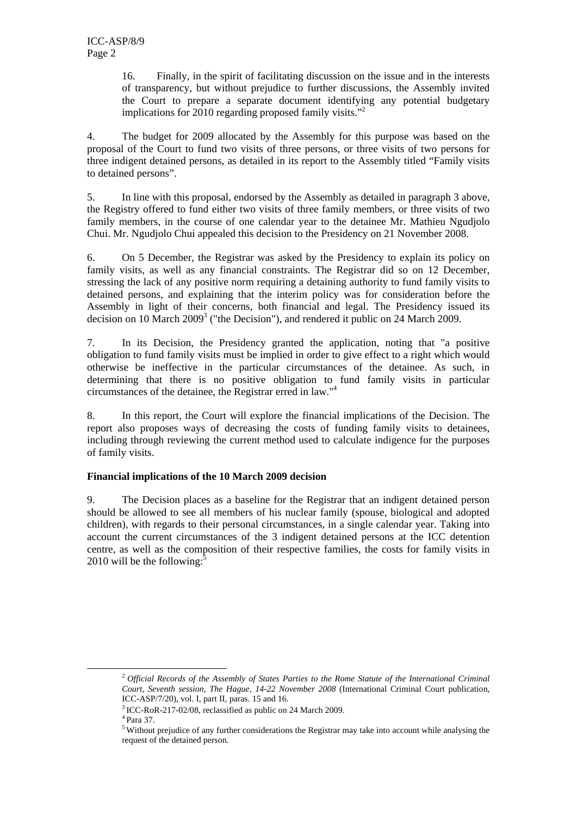16. Finally, in the spirit of facilitating discussion on the issue and in the interests of transparency, but without prejudice to further discussions, the Assembly invited the Court to prepare a separate document identifying any potential budgetary implications for 2010 regarding proposed family visits."<sup>2</sup>

4. The budget for 2009 allocated by the Assembly for this purpose was based on the proposal of the Court to fund two visits of three persons, or three visits of two persons for three indigent detained persons, as detailed in its report to the Assembly titled "Family visits to detained persons".

5. In line with this proposal, endorsed by the Assembly as detailed in paragraph 3 above, the Registry offered to fund either two visits of three family members, or three visits of two family members, in the course of one calendar year to the detainee Mr. Mathieu Ngudjolo Chui. Mr. Ngudjolo Chui appealed this decision to the Presidency on 21 November 2008.

6. On 5 December, the Registrar was asked by the Presidency to explain its policy on family visits, as well as any financial constraints. The Registrar did so on 12 December, stressing the lack of any positive norm requiring a detaining authority to fund family visits to detained persons, and explaining that the interim policy was for consideration before the Assembly in light of their concerns, both financial and legal. The Presidency issued its decision on 10 March  $2009<sup>3</sup>$  ("the Decision"), and rendered it public on 24 March 2009.

7. In its Decision, the Presidency granted the application, noting that "a positive obligation to fund family visits must be implied in order to give effect to a right which would otherwise be ineffective in the particular circumstances of the detainee. As such, in determining that there is no positive obligation to fund family visits in particular circumstances of the detainee, the Registrar erred in law."4

8. In this report, the Court will explore the financial implications of the Decision. The report also proposes ways of decreasing the costs of funding family visits to detainees, including through reviewing the current method used to calculate indigence for the purposes of family visits.

### **Financial implications of the 10 March 2009 decision**

9. The Decision places as a baseline for the Registrar that an indigent detained person should be allowed to see all members of his nuclear family (spouse, biological and adopted children), with regards to their personal circumstances, in a single calendar year. Taking into account the current circumstances of the 3 indigent detained persons at the ICC detention centre, as well as the composition of their respective families, the costs for family visits in 2010 will be the following: $5$ 

 <sup>2</sup> *Official Records of the Assembly of States Parties to the Rome Statute of the International Criminal Court, Seventh session, The Hague, 14-22 November 2008* (International Criminal Court publication, ICC-ASP/7/20), vol. I, part II, paras. 15 and 16.

 $3$  ICC-RoR-217-02/08, reclassified as public on 24 March 2009.<br> $4$  Para 37.

<sup>5</sup> Without prejudice of any further considerations the Registrar may take into account while analysing the request of the detained person.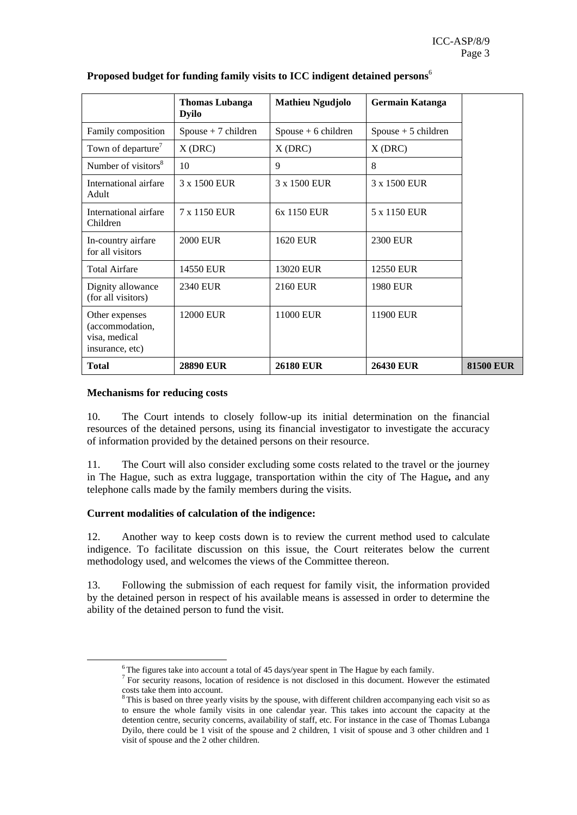|                                                                       | <b>Thomas Lubanga</b><br><b>Dyilo</b> | <b>Mathieu Ngudjolo</b> | Germain Katanga       |                  |
|-----------------------------------------------------------------------|---------------------------------------|-------------------------|-----------------------|------------------|
| Family composition                                                    | $Spouse + 7 children$                 | Spouse $+6$ children    | $Spouse + 5 children$ |                  |
| Town of departure <sup>7</sup>                                        | $X$ (DRC)                             | $X$ (DRC)               | $X$ (DRC)             |                  |
| Number of visitors <sup>8</sup>                                       | 10                                    | 9                       | 8                     |                  |
| International airfare<br>Adult                                        | 3 x 1500 EUR                          | 3 x 1500 EUR            | 3 x 1500 EUR          |                  |
| International airfare<br>Children                                     | 7 x 1150 EUR                          | 6x 1150 EUR             | 5 x 1150 EUR          |                  |
| In-country airfare<br>for all visitors                                | <b>2000 EUR</b>                       | <b>1620 EUR</b>         | <b>2300 EUR</b>       |                  |
| <b>Total Airfare</b>                                                  | 14550 EUR                             | 13020 EUR               | 12550 EUR             |                  |
| Dignity allowance<br>(for all visitors)                               | 2340 EUR                              | 2160 EUR                | <b>1980 EUR</b>       |                  |
| Other expenses<br>(accommodation,<br>visa, medical<br>insurance, etc) | 12000 EUR                             | 11000 EUR               | 11900 EUR             |                  |
| <b>Total</b>                                                          | <b>28890 EUR</b>                      | <b>26180 EUR</b>        | <b>26430 EUR</b>      | <b>81500 EUR</b> |

#### **Proposed budget for funding family visits to ICC indigent detained persons**<sup>6</sup>

#### **Mechanisms for reducing costs**

10. The Court intends to closely follow-up its initial determination on the financial resources of the detained persons, using its financial investigator to investigate the accuracy of information provided by the detained persons on their resource.

11. The Court will also consider excluding some costs related to the travel or the journey in The Hague, such as extra luggage, transportation within the city of The Hague**,** and any telephone calls made by the family members during the visits.

#### **Current modalities of calculation of the indigence:**

12. Another way to keep costs down is to review the current method used to calculate indigence. To facilitate discussion on this issue, the Court reiterates below the current methodology used, and welcomes the views of the Committee thereon.

13. Following the submission of each request for family visit, the information provided by the detained person in respect of his available means is assessed in order to determine the ability of the detained person to fund the visit.

<sup>&</sup>lt;sup>6</sup>The figures take into account a total of 45 days/year spent in The Hague by each family.<br><sup>7</sup> For security reasons, location of residence is not disclosed in this document. However the estimated costs take them into account.

<sup>&</sup>lt;sup>8</sup> This is based on three yearly visits by the spouse, with different children accompanying each visit so as to ensure the whole family visits in one calendar year. This takes into account the capacity at the detention centre, security concerns, availability of staff, etc. For instance in the case of Thomas Lubanga Dyilo, there could be 1 visit of the spouse and 2 children, 1 visit of spouse and 3 other children and 1 visit of spouse and the 2 other children.